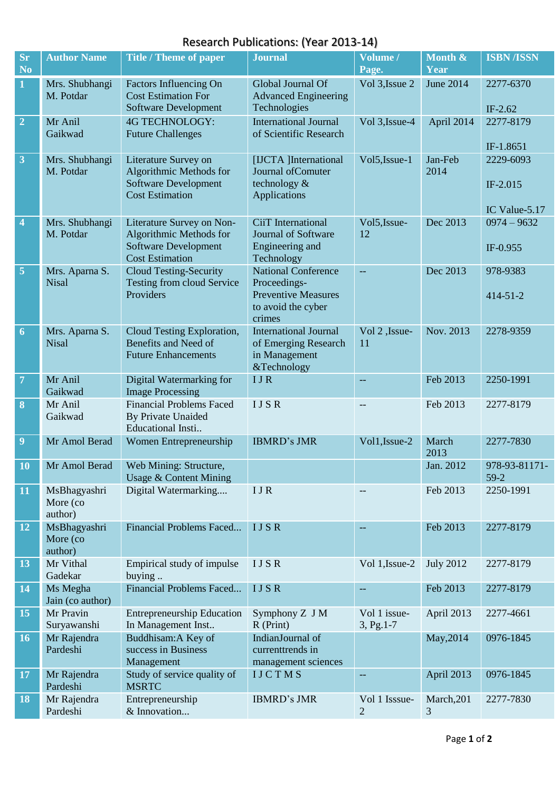## Research Publications: (Year 2013-14)

| <b>Sr</b>               | <b>Author Name</b>                  | <b>Title / Theme of paper</b>                                                                                 | <b>Journal</b>                                                                                           | Volume /                        | Month &          | <b>ISBN/ISSN</b>                       |
|-------------------------|-------------------------------------|---------------------------------------------------------------------------------------------------------------|----------------------------------------------------------------------------------------------------------|---------------------------------|------------------|----------------------------------------|
| No.                     |                                     |                                                                                                               |                                                                                                          | Page.                           | Year             |                                        |
| $\mathbf{1}$            | Mrs. Shubhangi<br>M. Potdar         | Factors Influencing On<br><b>Cost Estimation For</b><br>Software Development                                  | Global Journal Of<br><b>Advanced Engineering</b><br>Technologies                                         | Vol 3, Issue 2                  | June 2014        | 2277-6370<br>IF-2.62                   |
| $\overline{2}$          | Mr Anil<br>Gaikwad                  | <b>4G TECHNOLOGY:</b><br><b>Future Challenges</b>                                                             | <b>International Journal</b><br>of Scientific Research                                                   | Vol 3, Issue-4                  | April 2014       | 2277-8179<br>IF-1.8651                 |
| $\overline{\mathbf{3}}$ | Mrs. Shubhangi<br>M. Potdar         | Literature Survey on<br>Algorithmic Methods for<br><b>Software Development</b><br><b>Cost Estimation</b>      | [IJCTA ]International<br>Journal of Comuter<br>technology &<br>Applications                              | Vol5, Issue-1                   | Jan-Feb<br>2014  | 2229-6093<br>IF-2.015<br>IC Value-5.17 |
| $\overline{4}$          | Mrs. Shubhangi<br>M. Potdar         | Literature Survey on Non-<br>Algorithmic Methods for<br><b>Software Development</b><br><b>Cost Estimation</b> | CiiT International<br>Journal of Software<br>Engineering and<br>Technology                               | Vol5, Issue-<br>12              | Dec 2013         | $0974 - 9632$<br>IF-0.955              |
| $\overline{\mathbf{5}}$ | Mrs. Aparna S.<br><b>Nisal</b>      | <b>Cloud Testing-Security</b><br>Testing from cloud Service<br>Providers                                      | <b>National Conference</b><br>Proceedings-<br><b>Preventive Measures</b><br>to avoid the cyber<br>crimes | --                              | Dec 2013         | 978-9383<br>$414 - 51 - 2$             |
| $\overline{6}$          | Mrs. Aparna S.<br><b>Nisal</b>      | Cloud Testing Exploration,<br>Benefits and Need of<br><b>Future Enhancements</b>                              | <b>International Journal</b><br>of Emerging Research<br>in Management<br>&Technology                     | Vol 2, Issue-<br>11             | Nov. 2013        | 2278-9359                              |
| $\overline{7}$          | Mr Anil<br>Gaikwad                  | Digital Watermarking for<br><b>Image Processing</b>                                                           | <b>IJR</b>                                                                                               | --                              | Feb 2013         | 2250-1991                              |
| $\boldsymbol{8}$        | Mr Anil<br>Gaikwad                  | <b>Financial Problems Faced</b><br>By Private Unaided<br>Educational Insti                                    | <b>IJSR</b>                                                                                              |                                 | Feb 2013         | 2277-8179                              |
| 9                       | Mr Amol Berad                       | Women Entrepreneurship                                                                                        | <b>IBMRD's JMR</b>                                                                                       | Vol1, Issue-2                   | March<br>2013    | 2277-7830                              |
| <b>10</b>               | Mr Amol Berad                       | Web Mining: Structure,<br><b>Usage &amp; Content Mining</b>                                                   |                                                                                                          |                                 | Jan. 2012        | 978-93-81171-<br>$59-2$                |
| 11                      | MsBhagyashri<br>More (co<br>author) | Digital Watermarking                                                                                          | <b>IJR</b>                                                                                               |                                 | Feb 2013         | 2250-1991                              |
| 12                      | MsBhagyashri<br>More (co<br>author) | Financial Problems Faced                                                                                      | <b>IJSR</b>                                                                                              |                                 | Feb 2013         | 2277-8179                              |
| 13                      | Mr Vithal<br>Gadekar                | Empirical study of impulse<br>buying                                                                          | <b>IJSR</b>                                                                                              | Vol 1, Issue-2                  | <b>July 2012</b> | 2277-8179                              |
| 14                      | Ms Megha<br>Jain (co author)        | Financial Problems Faced                                                                                      | <b>IJSR</b>                                                                                              | --                              | Feb 2013         | 2277-8179                              |
| 15                      | Mr Pravin<br>Suryawanshi            | <b>Entrepreneurship Education</b><br>In Management Inst                                                       | Symphony Z J M<br>$R$ (Print)                                                                            | Vol 1 issue-<br>$3, Pg.1-7$     | April 2013       | 2277-4661                              |
| <b>16</b>               | Mr Rajendra<br>Pardeshi             | Buddhisam: A Key of<br>success in Business<br>Management                                                      | IndianJournal of<br>currenttrends in<br>management sciences                                              |                                 | May, 2014        | 0976-1845                              |
| <b>17</b>               | Mr Rajendra<br>Pardeshi             | Study of service quality of<br><b>MSRTC</b>                                                                   | <b>IJCTMS</b>                                                                                            |                                 | April 2013       | 0976-1845                              |
| 18                      | Mr Rajendra<br>Pardeshi             | Entrepreneurship<br>& Innovation                                                                              | <b>IBMRD's JMR</b>                                                                                       | Vol 1 Isssue-<br>$\overline{c}$ | March, 201<br>3  | 2277-7830                              |